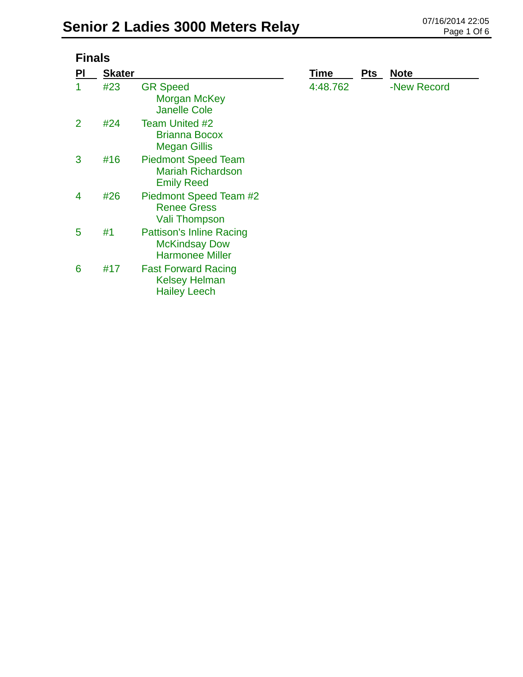| <b>Finals</b>  |               |                                                                                   |             |            |             |  |  |
|----------------|---------------|-----------------------------------------------------------------------------------|-------------|------------|-------------|--|--|
| <b>PI</b>      | <b>Skater</b> |                                                                                   | <b>Time</b> | <b>Pts</b> | <b>Note</b> |  |  |
|                | #23           | <b>GR Speed</b><br>Morgan McKey<br><b>Janelle Cole</b>                            | 4:48.762    |            | -New Record |  |  |
| $\overline{2}$ | #24           | Team United #2<br>Brianna Bocox<br><b>Megan Gillis</b>                            |             |            |             |  |  |
| 3              | #16           | <b>Piedmont Speed Team</b><br><b>Mariah Richardson</b><br><b>Emily Reed</b>       |             |            |             |  |  |
| 4              | #26           | Piedmont Speed Team #2<br><b>Renee Gress</b><br>Vali Thompson                     |             |            |             |  |  |
| 5              | #1            | <b>Pattison's Inline Racing</b><br><b>McKindsay Dow</b><br><b>Harmonee Miller</b> |             |            |             |  |  |
|                |               |                                                                                   |             |            |             |  |  |

Kelsey Helman Hailey Leech 6 #17 Fast Forward Racing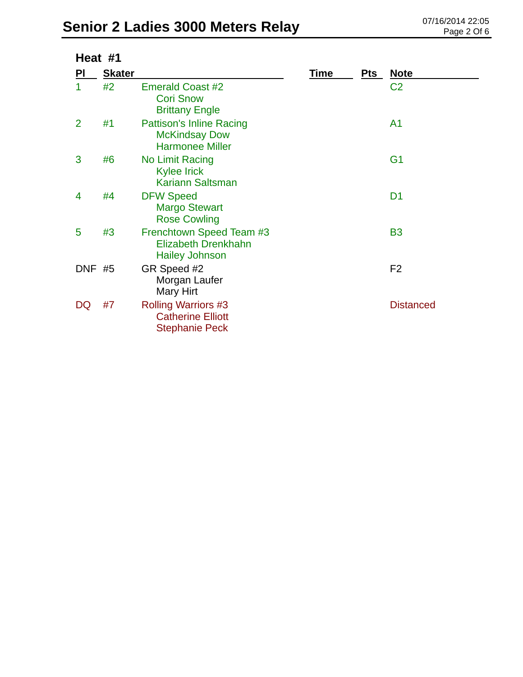## **Senior 2 Ladies 3000 Meters Relay** 07/16/2014 22:05

| Heat #1        |               |                                                                                   |             |            |                  |  |
|----------------|---------------|-----------------------------------------------------------------------------------|-------------|------------|------------------|--|
| PI             | <b>Skater</b> |                                                                                   | <b>Time</b> | <b>Pts</b> | <u>Note</u>      |  |
| 1              | #2            | <b>Emerald Coast #2</b><br><b>Cori Snow</b><br><b>Brittany Engle</b>              |             |            | C <sub>2</sub>   |  |
| $\overline{2}$ | #1            | <b>Pattison's Inline Racing</b><br><b>McKindsay Dow</b><br><b>Harmonee Miller</b> |             |            | A <sub>1</sub>   |  |
| 3              | #6            | No Limit Racing<br><b>Kylee Irick</b><br><b>Kariann Saltsman</b>                  |             |            | G <sub>1</sub>   |  |
| 4              | #4            | <b>DFW Speed</b><br><b>Margo Stewart</b><br><b>Rose Cowling</b>                   |             |            | D <sub>1</sub>   |  |
| 5              | #3            | Frenchtown Speed Team #3<br><b>Elizabeth Drenkhahn</b><br><b>Hailey Johnson</b>   |             |            | <b>B3</b>        |  |
| <b>DNF #5</b>  |               | GR Speed #2<br>Morgan Laufer<br>Mary Hirt                                         |             |            | F <sub>2</sub>   |  |
| DQ             | #7            | <b>Rolling Warriors #3</b><br><b>Catherine Elliott</b><br><b>Stephanie Peck</b>   |             |            | <b>Distanced</b> |  |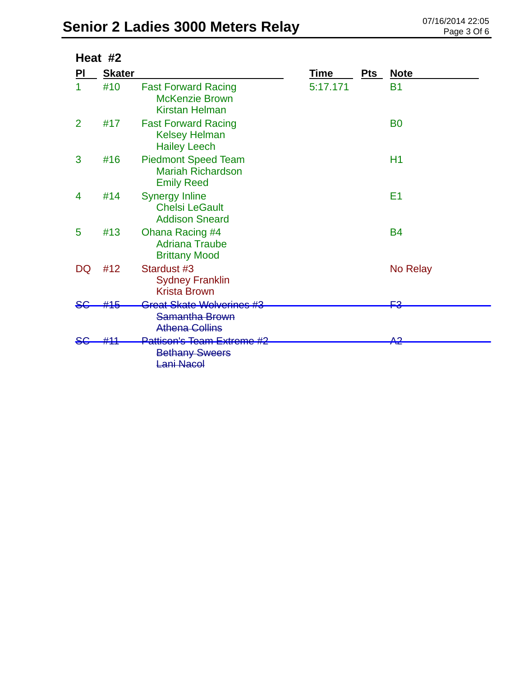|    | Heat #2       |                                                                              |             |            |                |
|----|---------------|------------------------------------------------------------------------------|-------------|------------|----------------|
| PI | <b>Skater</b> |                                                                              | <b>Time</b> | <b>Pts</b> | <b>Note</b>    |
| 1  | #10           | <b>Fast Forward Racing</b><br><b>McKenzie Brown</b><br><b>Kirstan Helman</b> | 5:17.171    |            | <b>B1</b>      |
| 2  | #17           | <b>Fast Forward Racing</b><br><b>Kelsey Helman</b><br><b>Hailey Leech</b>    |             |            | B <sub>0</sub> |
| 3  | #16           | <b>Piedmont Speed Team</b><br><b>Mariah Richardson</b><br><b>Emily Reed</b>  |             |            | H1             |
| 4  | #14           | <b>Synergy Inline</b><br><b>Chelsi LeGault</b><br><b>Addison Sneard</b>      |             |            | E <sub>1</sub> |
| 5  | #13           | Ohana Racing #4<br><b>Adriana Traube</b><br><b>Brittany Mood</b>             |             |            | <b>B4</b>      |
| DQ | #12           | Stardust #3<br><b>Sydney Franklin</b><br><b>Krista Brown</b>                 |             |            | No Relay       |
|    | #15           | Great Skate Wolverines #3                                                    |             |            | <u>Е3</u>      |
|    |               | Samantha Brown<br><b>Athena Collins</b>                                      |             |            |                |
|    |               | Pattison's Team Extreme #2<br><b>Bethany Sweers</b><br>ani Nacol             |             |            | <del>A2</del>  |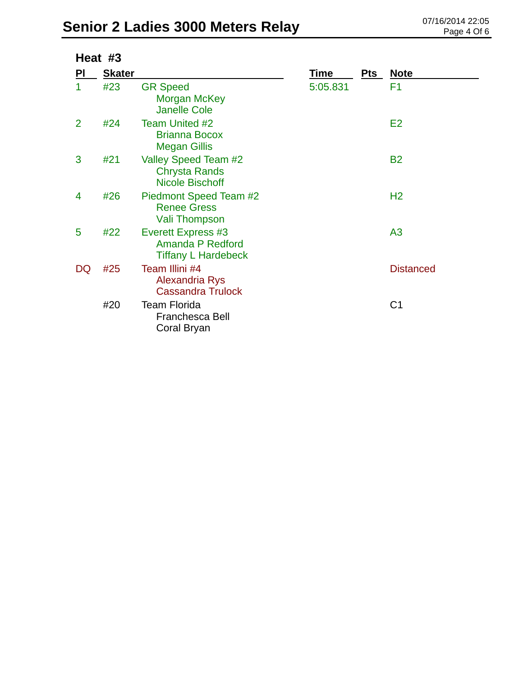| Heat #3        |               |                                                                             |          |     |                  |
|----------------|---------------|-----------------------------------------------------------------------------|----------|-----|------------------|
| <b>PI</b>      | <b>Skater</b> |                                                                             | Time     | Pts | <b>Note</b>      |
| 1              | #23           | <b>GR Speed</b><br>Morgan McKey<br><b>Janelle Cole</b>                      | 5:05.831 |     | F1               |
| $\overline{2}$ | #24           | <b>Team United #2</b><br><b>Brianna Bocox</b><br><b>Megan Gillis</b>        |          |     | E <sub>2</sub>   |
| 3              | #21           | Valley Speed Team #2<br><b>Chrysta Rands</b><br><b>Nicole Bischoff</b>      |          |     | <b>B2</b>        |
| 4              | #26           | Piedmont Speed Team #2<br><b>Renee Gress</b><br><b>Vali Thompson</b>        |          |     | H <sub>2</sub>   |
| 5              | #22           | <b>Everett Express #3</b><br>Amanda P Redford<br><b>Tiffany L Hardebeck</b> |          |     | A <sub>3</sub>   |
| DQ             | #25           | Team Illini #4<br>Alexandria Rys<br><b>Cassandra Trulock</b>                |          |     | <b>Distanced</b> |
|                | #20           | <b>Team Florida</b><br><b>Franchesca Bell</b><br>Coral Bryan                |          |     | C <sub>1</sub>   |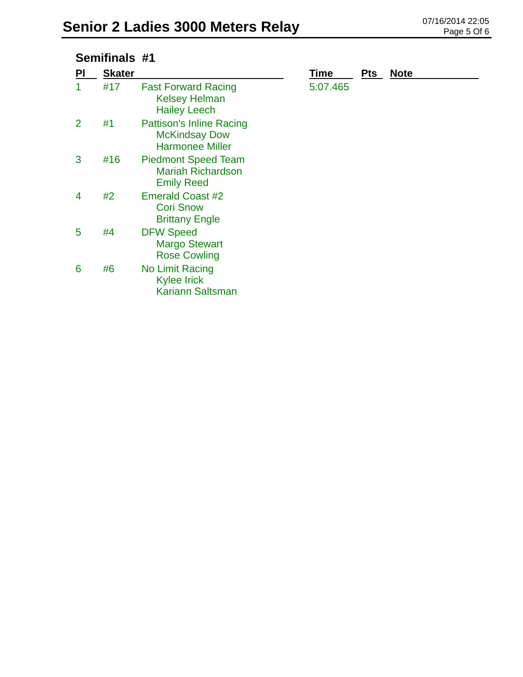| Semifinals #1  |               |                                                                                   |             |            |             |
|----------------|---------------|-----------------------------------------------------------------------------------|-------------|------------|-------------|
| PI             | <b>Skater</b> |                                                                                   | <u>Time</u> | <b>Pts</b> | <b>Note</b> |
| 1              | #17           | <b>Fast Forward Racing</b><br><b>Kelsey Helman</b><br><b>Hailey Leech</b>         | 5:07.465    |            |             |
| $\overline{2}$ | #1            | <b>Pattison's Inline Racing</b><br><b>McKindsay Dow</b><br><b>Harmonee Miller</b> |             |            |             |
| 3              | #16           | <b>Piedmont Speed Team</b><br><b>Mariah Richardson</b><br><b>Emily Reed</b>       |             |            |             |
| 4              | #2            | <b>Emerald Coast #2</b><br><b>Cori Snow</b><br><b>Brittany Engle</b>              |             |            |             |
| 5              | #4            | <b>DFW Speed</b><br><b>Margo Stewart</b><br><b>Rose Cowling</b>                   |             |            |             |
| 6              | #6            | No Limit Racing<br><b>Kylee Irick</b><br><b>Kariann Saltsman</b>                  |             |            |             |